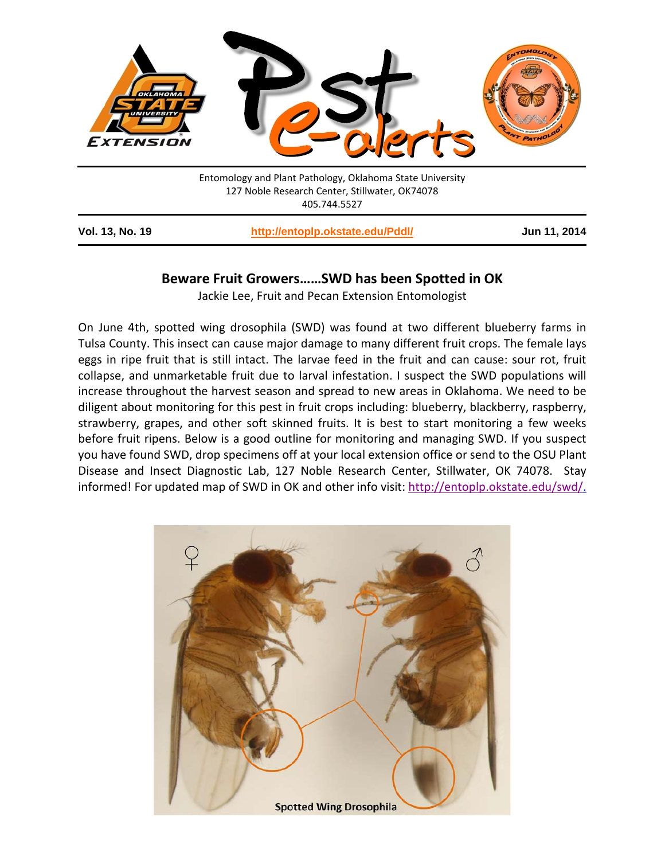

|  | <b>Service Service</b> |  |  |
|--|------------------------|--|--|
|  |                        |  |  |
|  |                        |  |  |
|  |                        |  |  |
|  |                        |  |  |
|  |                        |  |  |
|  |                        |  |  |

## **Beware Fruit Growers……SWD has been Spotted in OK**

Jackie Lee, Fruit and Pecan Extension Entomologist

On June 4th, spotted wing drosophila (SWD) was found at two different blueberry farms in Tulsa County. This insect can cause major damage to many different fruit crops. The female lays eggs in ripe fruit that is still intact. The larvae feed in the fruit and can cause: sour rot, fruit collapse, and unmarketable fruit due to larval infestation. I suspect the SWD populations will increase throughout the harvest season and spread to new areas in Oklahoma. We need to be diligent about monitoring for this pest in fruit crops including: blueberry, blackberry, raspberry, strawberry, grapes, and other soft skinned fruits. It is best to start monitoring a few weeks before fruit ripens. Below is a good outline for monitoring and managing SWD. If you suspect you have found SWD, drop specimens off at your local extension office or send to the OSU Plant Disease and Insect Diagnostic Lab, 127 Noble Research Center, Stillwater, OK 74078. Stay informed! For updated map of SWD in OK and other info visit: [http://entoplp.okstate.edu/swd/.](http://entoplp.okstate.edu/swd/index.html)

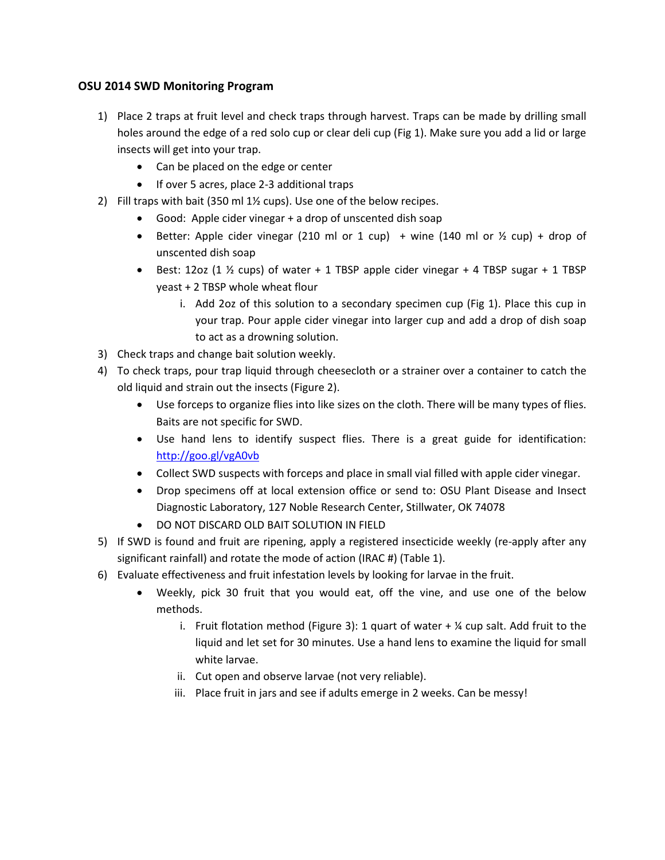## **OSU 2014 SWD Monitoring Program**

- 1) Place 2 traps at fruit level and check traps through harvest. Traps can be made by drilling small holes around the edge of a red solo cup or clear deli cup (Fig 1). Make sure you add a lid or large insects will get into your trap.
	- Can be placed on the edge or center
	- If over 5 acres, place 2-3 additional traps
- 2) Fill traps with bait (350 ml 1½ cups). Use one of the below recipes.
	- Good: Apple cider vinegar + a drop of unscented dish soap
	- Better: Apple cider vinegar (210 ml or 1 cup) + wine (140 ml or  $\frac{1}{2}$  cup) + drop of unscented dish soap
	- Best: 12oz (1  $\frac{1}{2}$  cups) of water + 1 TBSP apple cider vinegar + 4 TBSP sugar + 1 TBSP yeast + 2 TBSP whole wheat flour
		- i. Add 2oz of this solution to a secondary specimen cup (Fig 1). Place this cup in your trap. Pour apple cider vinegar into larger cup and add a drop of dish soap to act as a drowning solution.
- 3) Check traps and change bait solution weekly.
- 4) To check traps, pour trap liquid through cheesecloth or a strainer over a container to catch the old liquid and strain out the insects (Figure 2).
	- Use forceps to organize flies into like sizes on the cloth. There will be many types of flies. Baits are not specific for SWD.
	- Use hand lens to identify suspect flies. There is a great guide for identification: <http://goo.gl/vgA0vb>
	- Collect SWD suspects with forceps and place in small vial filled with apple cider vinegar.
	- Drop specimens off at local extension office or send to: OSU Plant Disease and Insect Diagnostic Laboratory, 127 Noble Research Center, Stillwater, OK 74078
	- DO NOT DISCARD OLD BAIT SOLUTION IN FIELD
- 5) If SWD is found and fruit are ripening, apply a registered insecticide weekly (re-apply after any significant rainfall) and rotate the mode of action (IRAC #) (Table 1).
- 6) Evaluate effectiveness and fruit infestation levels by looking for larvae in the fruit.
	- Weekly, pick 30 fruit that you would eat, off the vine, and use one of the below methods.
		- i. Fruit flotation method (Figure 3): 1 quart of water  $+$  % cup salt. Add fruit to the liquid and let set for 30 minutes. Use a hand lens to examine the liquid for small white larvae.
		- ii. Cut open and observe larvae (not very reliable).
		- iii. Place fruit in jars and see if adults emerge in 2 weeks. Can be messy!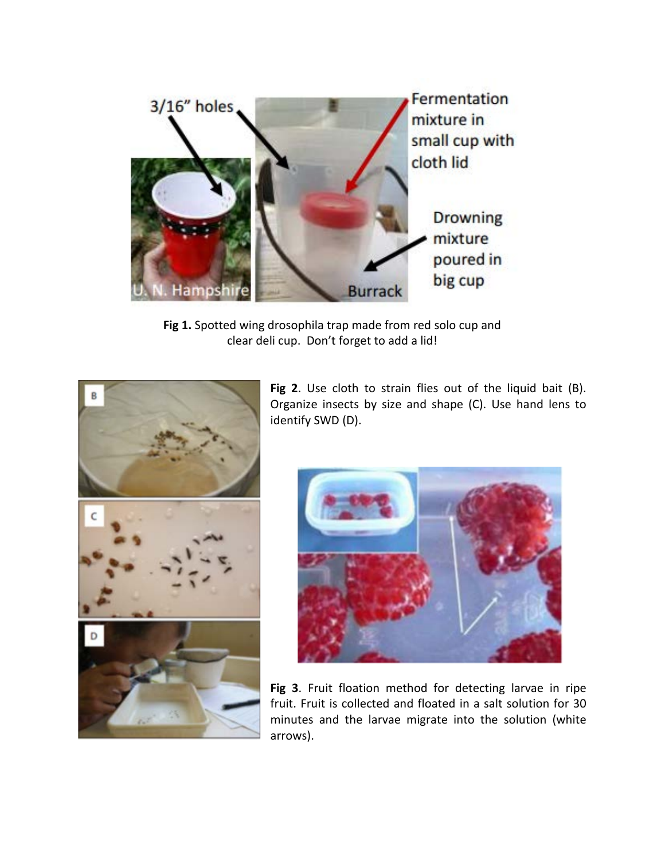

**Fig 1.** Spotted wing drosophila trap made from red solo cup and clear deli cup. Don't forget to add a lid!



**Fig 2**. Use cloth to strain flies out of the liquid bait (B). Organize insects by size and shape (C). Use hand lens to identify SWD (D).



**Fig 3**. Fruit floation method for detecting larvae in ripe fruit. Fruit is collected and floated in a salt solution for 30 minutes and the larvae migrate into the solution (white arrows).